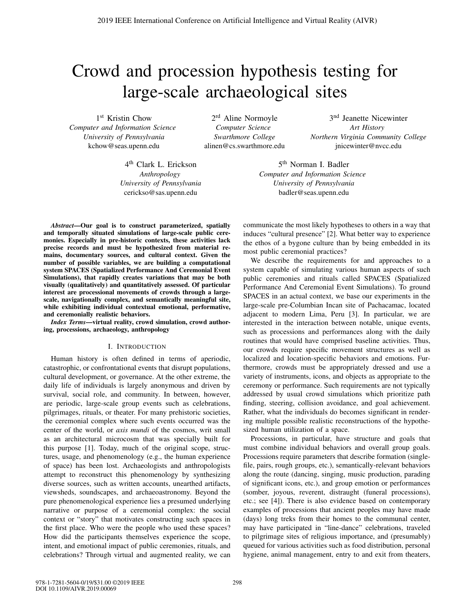# Crowd and procession hypothesis testing for large-scale archaeological sites

1<sup>st</sup> Kristin Chow *Computer and Information Science University of Pennsylvania* kchow@seas.upenn.edu

2rd Aline Normoyle *Computer Science Swarthmore College* alinen@cs.swarthmore.edu

3<sup>nd</sup> Jeanette Nicewinter *Art History Northern Virginia Community College* jnicewinter@nvcc.edu

4th Clark L. Erickson *Anthropology University of Pennsylvania* cerickso@sas.upenn.edu

5th Norman I. Badler *Computer and Information Science University of Pennsylvania* badler@seas.upenn.edu

*Abstract*—Our goal is to construct parameterized, spatially and temporally situated simulations of large-scale public ceremonies. Especially in pre-historic contexts, these activities lack precise records and must be hypothesized from material remains, documentary sources, and cultural context. Given the number of possible variables, we are building a computational system SPACES (Spatialized Performance And Ceremonial Event Simulations), that rapidly creates variations that may be both visually (qualitatively) and quantitatively assessed. Of particular interest are processional movements of crowds through a largescale, navigationally complex, and semantically meaningful site, while exhibiting individual contextual emotional, performative, and ceremonially realistic behaviors.

*Index Terms*—virtual reality, crowd simulation, crowd authoring, processions, archaeology, anthropology

# I. INTRODUCTION

Human history is often defined in terms of aperiodic, catastrophic, or confrontational events that disrupt populations, cultural development, or governance. At the other extreme, the daily life of individuals is largely anonymous and driven by survival, social role, and community. In between, however, are periodic, large-scale group events such as celebrations, pilgrimages, rituals, or theater. For many prehistoric societies, the ceremonial complex where such events occurred was the center of the world, or *axis mundi* of the cosmos, writ small as an architectural microcosm that was specially built for this purpose [1]. Today, much of the original scope, structures, usage, and phenomenology (e.g., the human experience of space) has been lost. Archaeologists and anthropologists attempt to reconstruct this phenomenology by synthesizing diverse sources, such as written accounts, unearthed artifacts, viewsheds, soundscapes, and archaeoastronomy. Beyond the pure phenomenological experience lies a presumed underlying narrative or purpose of a ceremonial complex: the social context or "story" that motivates constructing such spaces in the first place. Who were the people who used these spaces? How did the participants themselves experience the scope, intent, and emotional impact of public ceremonies, rituals, and celebrations? Through virtual and augmented reality, we can communicate the most likely hypotheses to others in a way that induces "cultural presence" [2]. What better way to experience the ethos of a bygone culture than by being embedded in its most public ceremonial practices?

We describe the requirements for and approaches to a system capable of simulating various human aspects of such public ceremonies and rituals called SPACES (Spatialized Performance And Ceremonial Event Simulations). To ground SPACES in an actual context, we base our experiments in the large-scale pre-Columbian Incan site of Pachacamac, located adjacent to modern Lima, Peru [3]. In particular, we are interested in the interaction between notable, unique events, such as processions and performances along with the daily routines that would have comprised baseline activities. Thus, our crowds require specific movement structures as well as localized and location-specific behaviors and emotions. Furthermore, crowds must be appropriately dressed and use a variety of instruments, icons, and objects as appropriate to the ceremony or performance. Such requirements are not typically addressed by usual crowd simulations which prioritize path finding, steering, collision avoidance, and goal achievement. Rather, what the individuals do becomes significant in rendering multiple possible realistic reconstructions of the hypothesized human utilization of a space.

Processions, in particular, have structure and goals that must combine individual behaviors and overall group goals. Processions require parameters that describe formation (singlefile, pairs, rough groups, etc.), semantically-relevant behaviors along the route (dancing, singing, music production, parading of significant icons, etc.), and group emotion or performances (somber, joyous, reverent, distraught (funeral processions), etc.; see [4]). There is also evidence based on contemporary examples of processions that ancient peoples may have made (days) long treks from their homes to the communal center, may have participated in "line-dance" celebrations, traveled to pilgrimage sites of religious importance, and (presumably) queued for various activities such as food distribution, personal hygiene, animal management, entry to and exit from theaters,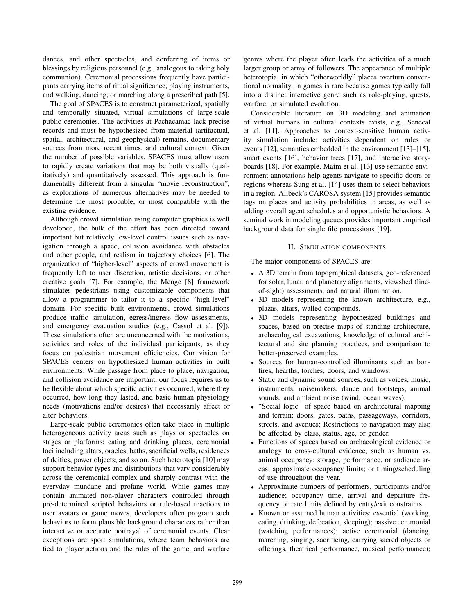dances, and other spectacles, and conferring of items or blessings by religious personnel (e.g., analogous to taking holy communion). Ceremonial processions frequently have participants carrying items of ritual significance, playing instruments, and walking, dancing, or marching along a prescribed path [5].

The goal of SPACES is to construct parameterized, spatially and temporally situated, virtual simulations of large-scale public ceremonies. The activities at Pachacamac lack precise records and must be hypothesized from material (artifactual, spatial, architectural, and geophysical) remains, documentary sources from more recent times, and cultural context. Given the number of possible variables, SPACES must allow users to rapidly create variations that may be both visually (qualitatively) and quantitatively assessed. This approach is fundamentally different from a singular "movie reconstruction", as explorations of numerous alternatives may be needed to determine the most probable, or most compatible with the existing evidence.

Although crowd simulation using computer graphics is well developed, the bulk of the effort has been directed toward important but relatively low-level control issues such as navigation through a space, collision avoidance with obstacles and other people, and realism in trajectory choices [6]. The organization of "higher-level" aspects of crowd movement is frequently left to user discretion, artistic decisions, or other creative goals [7]. For example, the Menge [8] framework simulates pedestrians using customizable components that allow a programmer to tailor it to a specific "high-level" domain. For specific built environments, crowd simulations produce traffic simulation, egress/ingress flow assessments, and emergency evacuation studies (e.g., Cassol et al. [9]). These simulations often are unconcerned with the motivations, activities and roles of the individual participants, as they focus on pedestrian movement efficiencies. Our vision for SPACES centers on hypothesized human activities in built environments. While passage from place to place, navigation, and collision avoidance are important, our focus requires us to be flexible about which specific activities occurred, where they occurred, how long they lasted, and basic human physiology needs (motivations and/or desires) that necessarily affect or alter behaviors.

Large-scale public ceremonies often take place in multiple heterogeneous activity areas such as plays or spectacles on stages or platforms; eating and drinking places; ceremonial loci including altars, oracles, baths, sacrificial wells, residences of deities, power objects; and so on. Such heterotopia [10] may support behavior types and distributions that vary considerably across the ceremonial complex and sharply contrast with the everyday mundane and profane world. While games may contain animated non-player characters controlled through pre-determined scripted behaviors or rule-based reactions to user avatars or game moves, developers often program such behaviors to form plausible background characters rather than interactive or accurate portrayal of ceremonial events. Clear exceptions are sport simulations, where team behaviors are tied to player actions and the rules of the game, and warfare genres where the player often leads the activities of a much larger group or army of followers. The appearance of multiple heterotopia, in which "otherworldly" places overturn conventional normality, in games is rare because games typically fall into a distinct interactive genre such as role-playing, quests, warfare, or simulated evolution.

Considerable literature on 3D modeling and animation of virtual humans in cultural contexts exists, e.g., Senecal et al. [11]. Approaches to context-sensitive human activity simulation include: activities dependent on rules or events [12], semantics embedded in the environment [13]–[15], smart events [16], behavior trees [17], and interactive storyboards [18]. For example, Maim et al. [13] use semantic environment annotations help agents navigate to specific doors or regions whereas Sung et al. [14] uses them to select behaviors in a region. Allbeck's CAROSA system [15] provides semantic tags on places and activity probabilities in areas, as well as adding overall agent schedules and opportunistic behaviors. A seminal work in modeling queues provides important empirical background data for single file processions [19].

#### II. SIMULATION COMPONENTS

The major components of SPACES are:

- A 3D terrain from topographical datasets, geo-referenced for solar, lunar, and planetary alignments, viewshed (lineof-sight) assessments, and natural illumination.
- 3D models representing the known architecture, e.g., plazas, altars, walled compounds.
- 3D models representing hypothesized buildings and spaces, based on precise maps of standing architecture, archaeological excavations, knowledge of cultural architectural and site planning practices, and comparison to better-preserved examples.
- Sources for human-controlled illuminants such as bonfires, hearths, torches, doors, and windows.
- Static and dynamic sound sources, such as voices, music, instruments, noisemakers, dance and footsteps, animal sounds, and ambient noise (wind, ocean waves).
- "Social logic" of space based on architectural mapping and terrain: doors, gates, paths, passageways, corridors, streets, and avenues; Restrictions to navigation may also be affected by class, status, age, or gender.
- Functions of spaces based on archaeological evidence or analogy to cross-cultural evidence, such as human vs. animal occupancy; storage, performance, or audience areas; approximate occupancy limits; or timing/scheduling of use throughout the year.
- Approximate numbers of performers, participants and/or audience; occupancy time, arrival and departure frequency or rate limits defined by entry/exit constraints.
- Known or assumed human activities: essential (working, eating, drinking, defecation, sleeping); passive ceremonial (watching performances); active ceremonial (dancing, marching, singing, sacrificing, carrying sacred objects or offerings, theatrical performance, musical performance);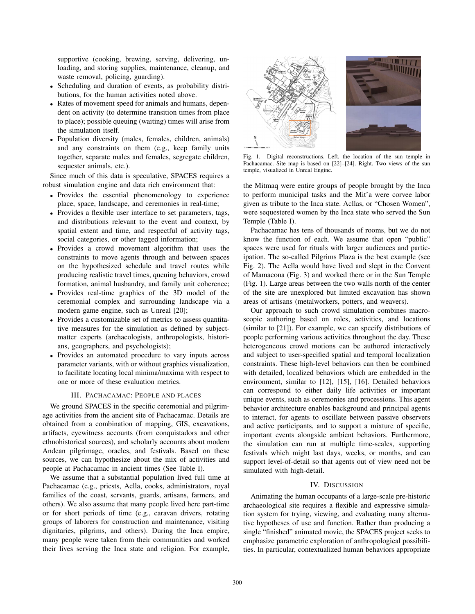supportive (cooking, brewing, serving, delivering, unloading, and storing supplies, maintenance, cleanup, and waste removal, policing, guarding).

- Scheduling and duration of events, as probability distributions, for the human activities noted above.
- Rates of movement speed for animals and humans, dependent on activity (to determine transition times from place to place); possible queuing (waiting) times will arise from the simulation itself.
- Population diversity (males, females, children, animals) and any constraints on them (e.g., keep family units together, separate males and females, segregate children, sequester animals, etc.).

Since much of this data is speculative, SPACES requires a robust simulation engine and data rich environment that:

- Provides the essential phenomenology to experience place, space, landscape, and ceremonies in real-time;
- Provides a flexible user interface to set parameters, tags, and distributions relevant to the event and context, by spatial extent and time, and respectful of activity tags, social categories, or other tagged information;
- Provides a crowd movement algorithm that uses the constraints to move agents through and between spaces on the hypothesized schedule and travel routes while producing realistic travel times, queuing behaviors, crowd formation, animal husbandry, and family unit coherence;
- Provides real-time graphics of the 3D model of the ceremonial complex and surrounding landscape via a modern game engine, such as Unreal [20];
- Provides a customizable set of metrics to assess quantitative measures for the simulation as defined by subjectmatter experts (archaeologists, anthropologists, historians, geographers, and psychologists);
- Provides an automated procedure to vary inputs across parameter variants, with or without graphics visualization, to facilitate locating local minima/maxima with respect to one or more of these evaluation metrics.

## III. PACHACAMAC: PEOPLE AND PLACES

We ground SPACES in the specific ceremonial and pilgrimage activities from the ancient site of Pachacamac. Details are obtained from a combination of mapping, GIS, excavations, artifacts, eyewitness accounts (from conquistadors and other ethnohistorical sources), and scholarly accounts about modern Andean pilgrimage, oracles, and festivals. Based on these sources, we can hypothesize about the mix of activities and people at Pachacamac in ancient times (See Table I).

We assume that a substantial population lived full time at Pachacamac (e.g., priests, Aclla, cooks, administrators, royal families of the coast, servants, guards, artisans, farmers, and others). We also assume that many people lived here part-time or for short periods of time (e.g., caravan drivers, rotating groups of laborers for construction and maintenance, visiting dignitaries, pilgrims, and others). During the Inca empire, many people were taken from their communities and worked their lives serving the Inca state and religion. For example,



Fig. 1. Digital reconstructions. Left. the location of the sun temple in Pachacamac. Site map is based on [22]–[24]. Right. Two views of the sun temple, visualized in Unreal Engine.

the Mitmaq were entire groups of people brought by the Inca to perform municipal tasks and the Mit'a were corvee labor given as tribute to the Inca state. Acllas, or "Chosen Women", were sequestered women by the Inca state who served the Sun Temple (Table I).

Pachacamac has tens of thousands of rooms, but we do not know the function of each. We assume that open "public" spaces were used for rituals with larger audiences and participation. The so-called Pilgrims Plaza is the best example (see Fig. 2). The Aclla would have lived and slept in the Convent of Mamacona (Fig. 3) and worked there or in the Sun Temple (Fig. 1). Large areas between the two walls north of the center of the site are unexplored but limited excavation has shown areas of artisans (metalworkers, potters, and weavers).

Our approach to such crowd simulation combines macroscopic authoring based on roles, activities, and locations (similar to [21]). For example, we can specify distributions of people performing various activities throughout the day. These heterogeneous crowd motions can be authored interactively and subject to user-specified spatial and temporal localization constraints. These high-level behaviors can then be combined with detailed, localized behaviors which are embedded in the environment, similar to [12], [15], [16]. Detailed behaviors can correspond to either daily life activities or important unique events, such as ceremonies and processions. This agent behavior architecture enables background and principal agents to interact, for agents to oscillate between passive observers and active participants, and to support a mixture of specific, important events alongside ambient behaviors. Furthermore, the simulation can run at multiple time-scales, supporting festivals which might last days, weeks, or months, and can support level-of-detail so that agents out of view need not be simulated with high-detail.

# IV. DISCUSSION

Animating the human occupants of a large-scale pre-historic archaeological site requires a flexible and expressive simulation system for trying, viewing, and evaluating many alternative hypotheses of use and function. Rather than producing a single "finished" animated movie, the SPACES project seeks to emphasize parametric exploration of anthropological possibilities. In particular, contextualized human behaviors appropriate